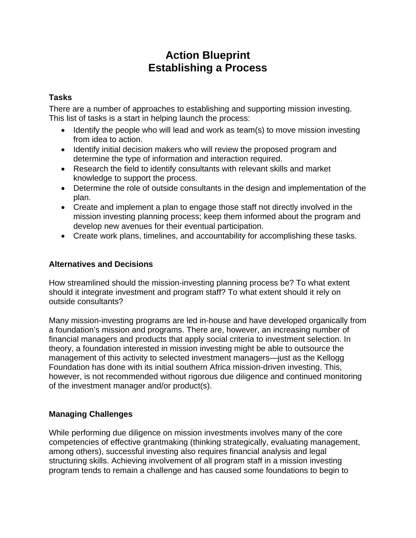# **Action Blueprint Establishing a Process**

### **Tasks**

There are a number of approaches to establishing and supporting mission investing. This list of tasks is a start in helping launch the process:

- $\bullet$  Identify the people who will lead and work as team(s) to move mission investing from idea to action.
- Identify initial decision makers who will review the proposed program and determine the type of information and interaction required.
- Research the field to identify consultants with relevant skills and market knowledge to support the process.
- Determine the role of outside consultants in the design and implementation of the plan.
- Create and implement a plan to engage those staff not directly involved in the mission investing planning process; keep them informed about the program and develop new avenues for their eventual participation.
- Create work plans, timelines, and accountability for accomplishing these tasks.

#### **Alternatives and Decisions**

How streamlined should the mission-investing planning process be? To what extent should it integrate investment and program staff? To what extent should it rely on outside consultants?

Many mission-investing programs are led in-house and have developed organically from a foundation's mission and programs. There are, however, an increasing number of financial managers and products that apply social criteria to investment selection. In theory, a foundation interested in mission investing might be able to outsource the management of this activity to selected investment managers—just as the Kellogg Foundation has done with its initial southern Africa mission-driven investing. This, however, is not recommended without rigorous due diligence and continued monitoring of the investment manager and/or product(s).

## **Managing Challenges**

While performing due diligence on mission investments involves many of the core competencies of effective grantmaking (thinking strategically, evaluating management, among others), successful investing also requires financial analysis and legal structuring skills. Achieving involvement of all program staff in a mission investing program tends to remain a challenge and has caused some foundations to begin to